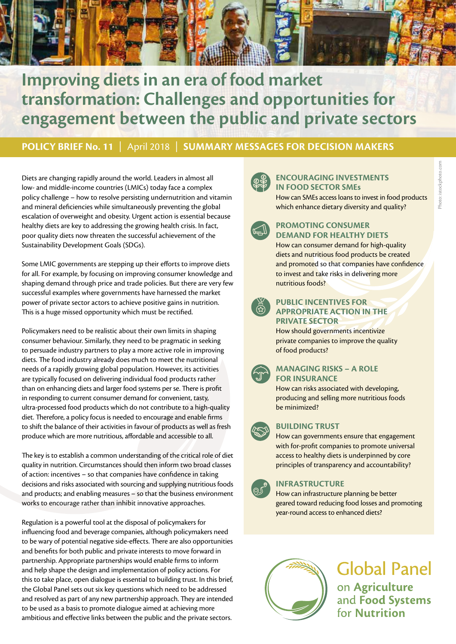

# **Improving diets in an era of food market transformation: Challenges and opportunities for engagement between the public and private sectors**

**POLICY BRIEF No. 11** | April 2018 | **SUMMARY MESSAGES FOR DECISION MAKERS**

Diets are changing rapidly around the world. Leaders in almost all low- and middle-income countries (LMICs) today face a complex policy challenge – how to resolve persisting undernutrition and vitamin and mineral deficiencies while simultaneously preventing the global escalation of overweight and obesity. Urgent action is essential because healthy diets are key to addressing the growing health crisis. In fact, poor quality diets now threaten the successful achievement of the Sustainability Development Goals (SDGs).

Some LMIC governments are stepping up their efforts to improve diets for all. For example, by focusing on improving consumer knowledge and shaping demand through price and trade policies. But there are very few successful examples where governments have harnessed the market power of private sector actors to achieve positive gains in nutrition. This is a huge missed opportunity which must be rectified.

Policymakers need to be realistic about their own limits in shaping consumer behaviour. Similarly, they need to be pragmatic in seeking to persuade industry partners to play a more active role in improving diets. The food industry already does much to meet the nutritional needs of a rapidly growing global population. However, its activities are typically focused on delivering individual food products rather than on enhancing diets and larger food systems per se. There is profit in responding to current consumer demand for convenient, tasty, ultra-processed food products which do not contribute to a high-quality diet. Therefore, a policy focus is needed to encourage and enable firms to shift the balance of their activities in favour of products as well as fresh produce which are more nutritious, affordable and accessible to all.

The key is to establish a common understanding of the critical role of diet quality in nutrition. Circumstances should then inform two broad classes of action: incentives – so that companies have confidence in taking decisions and risks associated with sourcing and supplying nutritious foods and products; and enabling measures – so that the business environment works to encourage rather than inhibit innovative approaches.

Regulation is a powerful tool at the disposal of policymakers for influencing food and beverage companies, although policymakers need to be wary of potential negative side-effects. There are also opportunities and benefits for both public and private interests to move forward in partnership. Appropriate partnerships would enable firms to inform and help shape the design and implementation of policy actions. For this to take place, open dialogue is essential to building trust. In this brief, the Global Panel sets out six key questions which need to be addressed and resolved as part of any new partnership approach. They are intended to be used as a basis to promote dialogue aimed at achieving more ambitious and effective links between the public and the private sectors.



### **ENCOURAGING INVESTMENTS IN FOOD SECTOR SMEs**

How can SMEs access loans to invest in food products which enhance dietary diversity and quality?



## **PROMOTING CONSUMER DEMAND FOR HEALTHY DIETS**

How can consumer demand for high-quality diets and nutritious food products be created and promoted so that companies have confidence to invest and take risks in delivering more nutritious foods?



#### **PUBLIC INCENTIVES FOR APPROPRIATE ACTION IN THE PRIVATE SECTOR**

How should governments incentivize private companies to improve the quality of food products?



#### **MANAGING RISKS – A ROLE FOR INSURANCE**

How can risks associated with developing, producing and selling more nutritious foods be minimized?



# **BUILDING TRUST**

How can governments ensure that engagement with for-profit companies to promote universal access to healthy diets is underpinned by core principles of transparency and accountability?



# **INFRASTRUCTURE**

How can infrastructure planning be better geared toward reducing food losses and promoting year-round access to enhanced diets?



# **Global Panel** on Agriculture and Food Systems for Nutrition